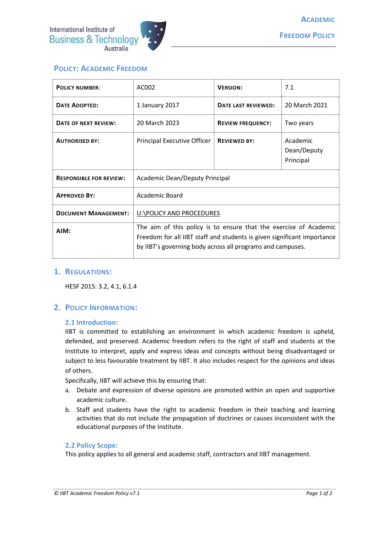

# **POLICY: ACADEMIC FREEDOM**

| <b>POLICY NUMBER:</b>          | AC002                                                                                                                                                                                                      | <b>VERSION:</b>          | 7.1                                  |
|--------------------------------|------------------------------------------------------------------------------------------------------------------------------------------------------------------------------------------------------------|--------------------------|--------------------------------------|
| <b>DATE ADOPTED:</b>           | 1 January 2017                                                                                                                                                                                             | DATE LAST REVIEWED:      | 20 March 2021                        |
| DATE OF NEXT REVIEW:           | 20 March 2023                                                                                                                                                                                              | <b>REVIEW FREQUENCY:</b> | Two years                            |
| <b>AUTHORISED BY:</b>          | Principal Executive Officer                                                                                                                                                                                | <b>REVIEWED BY:</b>      | Academic<br>Dean/Deputy<br>Principal |
| <b>RESPONSIBLE FOR REVIEW:</b> | Academic Dean/Deputy Principal                                                                                                                                                                             |                          |                                      |
| <b>APPROVED BY:</b>            | Academic Board                                                                                                                                                                                             |                          |                                      |
| <b>DOCUMENT MANAGEMENT:</b>    | U:\POLICY AND PROCEDURES                                                                                                                                                                                   |                          |                                      |
| AIM:                           | The aim of this policy is to ensure that the exercise of Academic<br>Freedom for all IIBT staff and students is given significant importance<br>by IIBT's governing body across all programs and campuses. |                          |                                      |

## **1. REGULATIONS:**

HESF 2015: 3.2, 4.1, 6.1.4

## **2. POLICY INFORMATION:**

#### **2.1 Introduction:**

IIBT is committed to establishing an environment in which academic freedom is upheld, defended, and preserved. Academic freedom refers to the right of staff and students at the Institute to interpret, apply and express ideas and concepts without being disadvantaged or subject to less favourable treatment by IIBT. It also includes respect for the opinions and ideas of others.

Specifically, IIBT will achieve this by ensuring that:

- a. Debate and expression of diverse opinions are promoted within an open and supportive academic culture.
- b. Staff and students have the right to academic freedom in their teaching and learning activities that do not include the propagation of doctrines or causes inconsistent with the educational purposes of the Institute.

#### **2.2 Policy Scope:**

This policy applies to all general and academic staff, contractors and IIBT management.